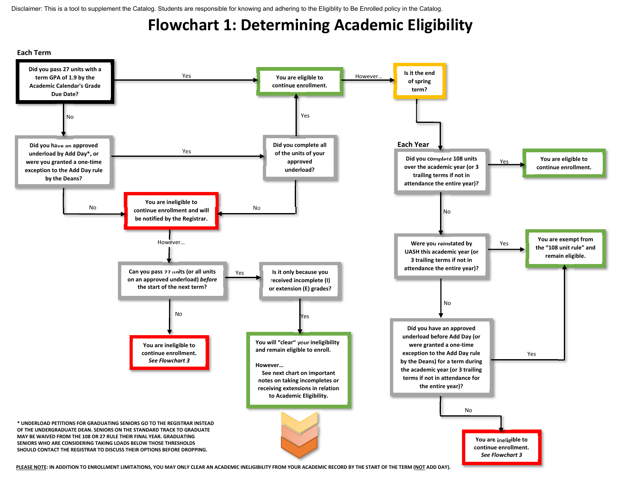## **Flowchart 1: Determining Academic Eligibility**



<u>PLEASE NOTE</u>: IN ADDITION TO ENROLLMENT LIMITATIONS, YOU MAY ONLY CLEAR AN ACADEMIC INELIGIBILITY FROM YOUR ACADEMIC RECORD BY THE START OF THE TERM (<u>NOT</u> ADD DAY).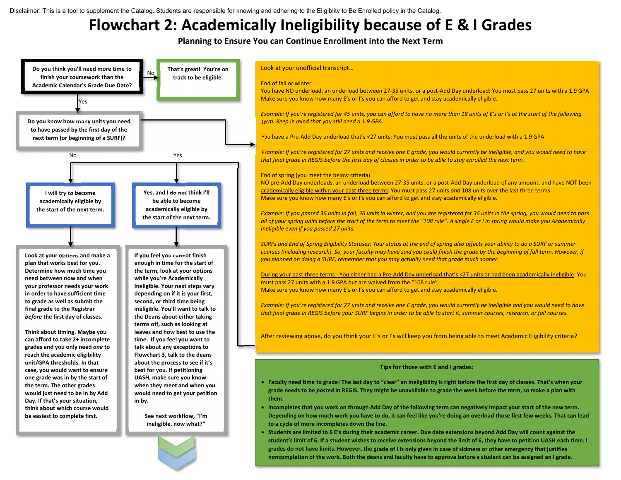## **Flowchart 2: Academically Ineligibility because of E & I Grades**

**Planning to Ensure You can Continue Enrollment into the Next Term**